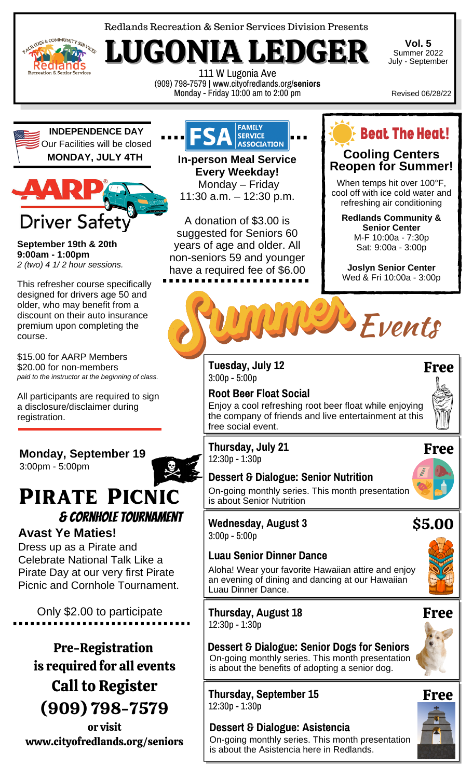

LITIES & COMMUNITY SERVICES Rédiands reation & S

LUGONIA LEDGER 111 W Lugonia Ave (909) 798-7579 | www.cityofredlands.org/**seniors** Monday - Friday 10:00 am to 2:00 pm

**Vol. 5** Summer 2022 July - September

Revised 06/28/22

**INDEPENDENCE DAY** Our Facilities will be closed **MONDAY, JULY 4TH In-person Meal Service**



**September 19th & 20th 9:00am - 1:00pm** *2 (two) 4 1/ 2 hour sessions.*

This refresher course specifically designed for drivers age 50 and older, who may benefit from a discount on their auto insurance premium upon completing the course.

\$15.00 for AARP Members \$20.00 for non-members *paid to the instructor at the beginning of class.*

All participants are required to sign a disclosure/disclaimer during registration.

### **Monday, September 19** 3:00pm - 5:00pm

# Pirate Picnic & Cornhole Tournament

### **Avast Ye Maties!**

Dress up as a Pirate and Celebrate National Talk Like a Pirate Day at our very first Pirate Picnic and Cornhole Tournament.

Only \$2.00 to participate

Pre-Registration is required for all events Call to Register (909) 798-7579

or visit www.cityofredlands.org/seniors



**Every Weekday!** Monday – Friday 11:30 a.m. – 12:30 p.m.

A donation of \$3.00 is suggested for Seniors 60 years of age and older. All non-seniors 59 and younger have a required fee of \$6.00



### **Cooling Centers Reopen for Summer!**

When temps hit over 100°F, cool off with ice cold water and refreshing air conditioning

**Redlands Community & Senior Center** M-F 10:00a - 7:30p Sat: 9:00a - 3:00p

**Joslyn Senior Center** Wed & Fri 10:00a - 3:00p



**Tuesday, July 12** 3:00p - 5:00p

#### **Root Beer Float Social** Enjoy a cool refreshing root beer float while enjoying the company of friends and live entertainment at this free social event.



### **Dessert & Dialogue: Senior Nutrition**



\$5.00

On-going monthly series. This month presentation is about Senior Nutrition

### **Wednesday, August 3** 3:00p - 5:00p

### **Luau Senior Dinner Dance**

Aloha! Wear your favorite Hawaiian attire and enjoy an evening of dining and dancing at our Hawaiian Luau Dinner Dance.

**Thursday, August 18** 12:30p - 1:30p



**Thursday, September 15** 12:30p - 1:30p

#### **Dessert & Dialogue: Asistencia** On-going monthly series. This month presentation is about the Asistencia here in Redlands.